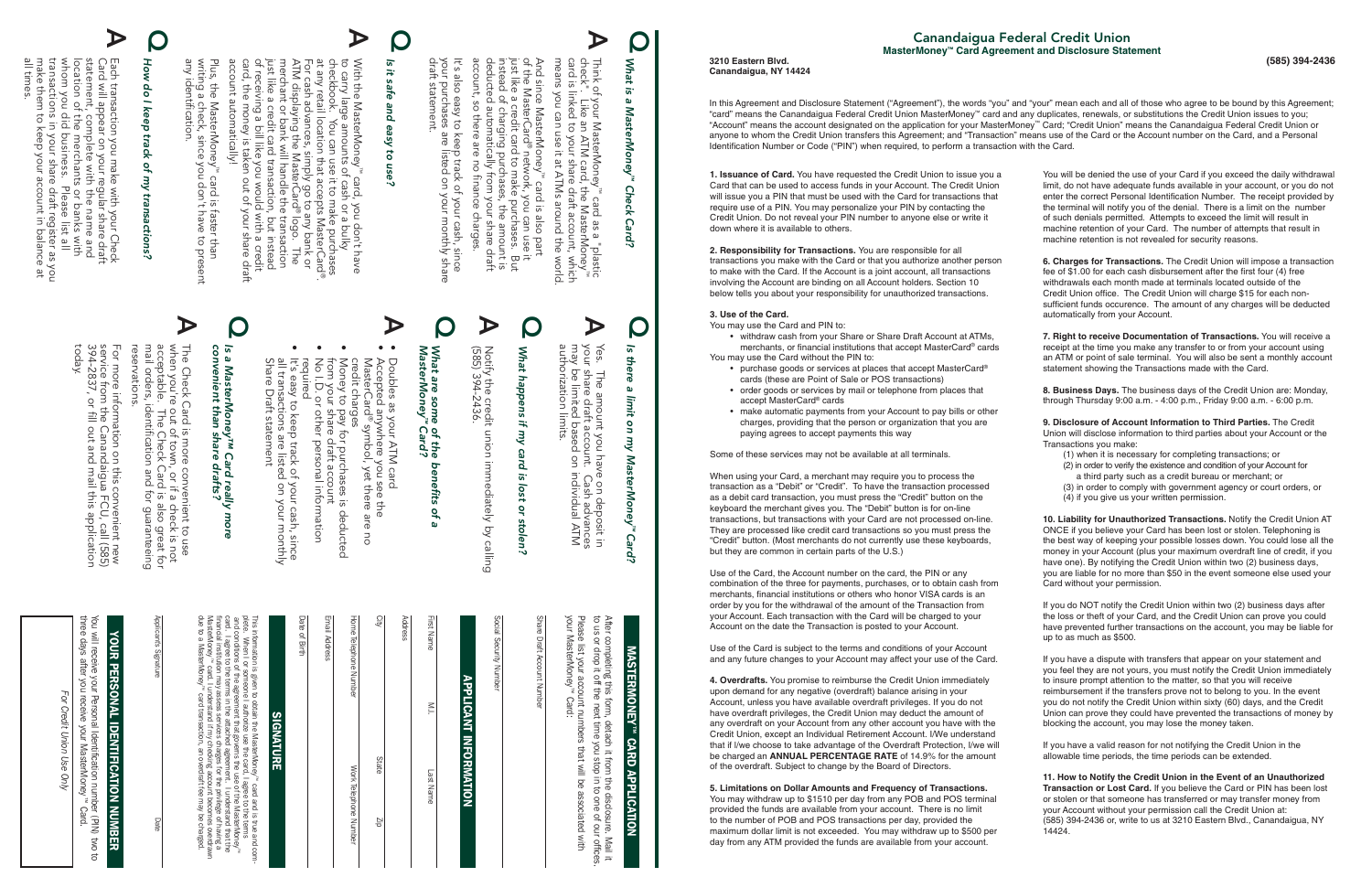## Q Is it safe *Is it safe and easy to use?* and easy  $\overline{a}$ use?

 $\blacktriangleright$ 

**1. Issuance of Card.** You have requested the Credit Union to issue you a Card that can be used to access funds in your Account. The Credit Union will issue you a PIN that must be used with the Card for transactions that require use of a PIN. You may personalize your PIN by contacting the Credit Union. Do not reveal your PIN number to anyone else or write it down where it is available to others.

**2. Responsibility for Transactions.** You are responsible for all transactions you make with the Card or that you authorize another person to make with the Card. If the Account is a joint account, all transactions involving the Account are binding on all Account holders. Section 10 below tells you about your responsibility for unauthorized transactions.

- withdraw cash from your Share or Share Draft Account at ATMs. merchants, or financial institutions that accept MasterCard® cards You may use the Card without the PIN to:
	- purchase goods or services at places that accept MasterCard® cards (these are Point of Sale or POS transactions)
	- order goods or services by mail or telephone from places that accept MasterCard® cards
	- make automatic payments from your Account to pay bills or other charges, providing that the person or organization that you are paying agrees to accept payments this way

#### **3. Use of the Card.**

You may use the Card and PIN to:

Some of these services may not be available at all terminals.

When using your Card, a merchant may require you to process the transaction as a "Debit" or "Credit". To have the transaction processed as a debit card transaction, you must press the "Credit" button on the keyboard the merchant gives you. The "Debit" button is for on-line transactions, but transactions with your Card are not processed on-line. They are processed like credit card transactions so you must press the "Credit" button. (Most merchants do not currently use these keyboards, but they are common in certain parts of the U.S.)

Use of the Card, the Account number on the card, the PIN or any combination of the three for payments, purchases, or to obtain cash from merchants, financial institutions or others who honor VISA cards is an order by you for the withdrawal of the amount of the Transaction from your Account. Each transaction with the Card will be charged to your Account on the date the Transaction is posted to your Account.

Use of the Card is subject to the terms and conditions of your Account and any future changes to your Account may affect your use of the Card.

**4. Overdrafts.** You promise to reimburse the Credit Union immediately upon demand for any negative (overdraft) balance arising in your Account, unless you have available overdraft privileges. If you do not have overdraft privileges, the Credit Union may deduct the amount of any overdraft on your Account from any other account you have with the Credit Union, except an Individual Retirement Account. I/We understand that if l/we choose to take advantage of the Overdraft Protection, I/we will be charged an **ANNUAL PERCENTAGE RATE** of 14.9% for the amount of the overdraft. Subject to change by the Board of Directors.

#### **5. Limitations on Dollar Amounts and Frequency of Transactions.**

You may withdraw up to \$1510 per day from any POB and POS terminal provided the funds are available from your account. There is no limit to the number of POB and POS transactions per day, provided the maximum dollar limit is not exceeded. You may withdraw up to \$500 per day from any ATM provided the funds are available from your account.

You will be denied the use of your Card if you exceed the daily withdrawal limit, do not have adequate funds available in your account, or you do not enter the correct Personal Identification Number. The receipt provided by the terminal will notify you of the denial. There is a limit on the number of such denials permitted. Attempts to exceed the limit will result in machine retention of your Card. The number of attempts that result in machine retention is not revealed for security reasons.

## Q What *What is a MasterMoney* is a MasterMoney<sup>™</sup> *™ Check Card?* **Check** Card?

account automatically! card, the money is taken out of your share draft of receiving a bill like you would with a credit just like a credit card transaction, but instead merchant or bank will handle the transaction ATM displaying the MasterCard at any retail location that accepts MasterCard checkbook. You can use it to make purchases to carry large amounts of cash or a bulky With the MasterMoney For cash advances, simply go to any bank or<br>ATM displaying the MasterCard® logo. The ™ card, you don't have ® .  $\Rightarrow$ 

Plus, the MasterMoney™ c<br>writing a check, since you<br>any identification. any identification. writing a check, since you don't have to present Plus, the MasterMoney Nou ™ card is faster than δ, isi bisi s faster than<br>t have to present

 $\blacktriangleright$ 

**6. Charges for Transactions.** The Credit Union will impose a transaction fee of \$1.00 for each cash disbursement after the first four (4) free withdrawals each month made at terminals located outside of the Credit Union office. The Credit Union will charge \$15 for each nonsufficient funds occurence. The amount of any charges will be deducted automatically from your Account.

Share Draft statement all transactions are listed on your monthly It's easy to keep track of your cash, since your cash, since<br>on your monthly

### $\overline{\mathbf{s}}$ *convenient than share drafts? Is a MasterMoney™ Card really more*  Ø. MasterMoney<sup>rm</sup> Ca<br>venient than share .<br>ard really.<br>drafts?  $\overline{B}$  $\overline{\mathbf{o}}$

**7. Right to receive Documentation of Transactions.** You will receive a receipt at the time you make any transfer to or from your account using an ATM or point of sale terminal. You will also be sent a monthly account statement showing the Transactions made with the Card.

check Think means you can use it Think of your MasterMoney means you can use it at ATMs around the world. card is linked to your card is linked to your share draft account, which check". Like an ATM card, the MasterMoney  $=$  $\frac{1}{2}$ f your MasterMoney™<br>. Like an ATM card, th<br>linked to your share dr at ATMs ey" card as a "plastic<br>1, the MasterMoney"<br>re draft account, which<br>\TMs around the world. ™ card as a "plastic

 $\blacktriangleright$ 

And since MasterMoney"" card is also part<br>of the MasterCard® network, you can use it<br>just like a credit card to make purchases. But<br>instead of charging purchases, the amount is<br>deducted automatically from your share draft deducted automatically from your share draft just like a credit card to make purchases. But And since MasterMoney account, so there are no finance charges. instead of charging purchases, the amount is of the MasterCard® network, you can use it account, SO there ale no finance ™ card is also part charges.

your<br>draft draft statement. your purchases are listed on your monthly share  $\overline{\overline{1}}$ It's also easy to keep track of your cash, since osje also easy to<br>r purchases :<br>t statement. keep track of your cash, since<br>are listed on your monthly share

> **8. Business Days.** The business days of the Credit Union are: Monday, through Thursday 9:00 a.m. - 4:00 p.m., Friday 9:00 a.m. - 6:00 p.m.

> **9. Disclosure of Account Information to Third Parties.** The Credit Union will disclose information to third parties about your Account or the Transactions you make:

Learn unnsaction you make with your Check<br>Card will appear on your regular share draft<br>statement, complete with the name and<br>location of the merchants or banks with<br>whom you did business. Please list all<br>transactions in y make them to keep your account in balance at transactions in your share draft register as you whom you did business. Please list all location of the merchants or banks with statement, complete with the name and Card will appear on your regular share draft Each transaction you make with your Check

### 57 *Is there a limit on my MasterMoney™ Card?*  $\ddot{z}$ ere  $\omega$ limit  $\mathsf{S}$ Λш MasterMoney<sup>""</sup> **Card?**

**C** 

Yes. The amount you have on de<br>your share draft account. Cash a<br>may be limited based on inding<br>authorization authorization limits. your share draft account. Cash advances Yes. The amount you have on deposit in may be limited based on individual ATM . Cash advan<br>i individual A deposit ances<br>ATM  $\overline{5}$ 

## What happens if *What happens if my card is lost or stolen?* λw card is lost  $\tilde{a}$ stolen?

- (1) when it is necessary for completing transactions; or
- (2) in order to verify the existence and condition of your Account for a third party such as a credit bureau or merchant; or
- (3) in order to comply with government agency or court orders, or
- (4) if you give us your written permission.

## Q How *How do I keep track of my transactions?* do I keep track ot my transactions?

 $\blacktriangleright$ 

Share Draft Account Number Draft

# APPLICANT INFORMATION **APPLICANT INFORMATION**

**YOUR PERSONAL IDENTIFICATION NUMBER** YOUR PERSONAL IDENTIFICATION NUMBER

**10. Liability for Unauthorized Transactions.** Notify the Credit Union AT ONCE if you believe your Card has been lost or stolen. Telephoning is the best way of keeping your possible losses down. You could lose all the money in your Account (plus your maximum overdraft line of credit, if you have one). By notifying the Credit Union within two (2) business days, you are liable for no more than \$50 in the event someone else used your Card without your permission.

This information is given to obtain the MasterMoney™ card and is true and coms information is given to obtain the MasterMoney'" card and is true and<br>te. When I or someone I authorize use the card, I agree to the terms<br>id. I agree to the terms in the attached agreement. I understand that th<br>d. I agr

If you do NOT notify the Credit Union within two (2) business days after the loss or theft of your Card, and the Credit Union can prove you could have prevented further transactions on the account, you may be liable for up to as much as \$500.

If you have a dispute with transfers that appear on your statement and you feel they are not yours, you must notify the Credit Union immediately to insure prompt attention to the matter, so that you will receive reimbursement if the transfers prove not to belong to you. In the event you do not notify the Credit Union within sixty (60) days, and the Credit Union can prove they could have prevented the transactions of money by blocking the account, you may lose the money taken.

If you have a valid reason for not notifying the Credit Union in the allowable time periods, the time periods can be extended.

**11. How to Notify the Credit Union in the Event of an Unauthorized Transaction or Lost Card.** If you believe the Card or PIN has been lost or stolen or that someone has transferred or may transfer money from your Account without your permission call the Credit Union at: (585) 394-2436 or, write to us at 3210 Eastern Blvd., Canandaigua, NY 14424.

In this Agreement and Disclosure Statement ("Agreement"), the words "you" and "your" mean each and all of those who agree to be bound by this Agreement; "card" means the Canandaigua Federal Credit Union MasterMoney™ card and any duplicates, renewals, or substitutions the Credit Union issues to you; "Account" means the account designated on the application for your MasterMoney™ Card; "Credit Union" means the Canandaigua Federal Credit Union or anyone to whom the Credit Union transfers this Agreement; and "Transaction" means use of the Card or the Account number on the Card, and a Personal Identification Number or Code ("PIN") when required, to perform a transaction with the Card.

#### **3210 Eastern Blvd. Canandaigua, NY 14424**

Q

Notify the<br>(585) 394-2 (585) 394-2436. Notify the credit union immediately by calling e credit union<br>--2436. immediately by calling

 $\blacktriangleright$ 

## *What are some of the<br>MasterMoney™ Card? MasterMoney What are some of the benefits of a*  benefits  $\overline{a}$ g,

• Doubles as your ATM card

 $\blacktriangleright$ 

- Accepted anywhere you see the ® symbol, yet there are no credit charges MasterCard see the are  $\overline{a}$
- • from your share draft account Money to pay for purchases is deducted draft account<br>personal information deducted
- required No I.D. or other personal information

모

[고기

•

Q

Q

The Check (<br>when you're<br>acceptable.<br>mail orders, reservations acceptable. The Check Card is also great for when you're out of town, or if a check is not The Check Card is more convenient to use reservations. mail orders, identification and for  $\overline{\sigma}$ card identification  $\frac{1}{5}$ | is more<br>: of town,<br>: Check C . Card<br>n and conve<br>, or if 하은 곳이 lient<br>Lebec<br>Japan ang guaranteeing t to use<br>sck is not<br>o great for p great for<br>aranteeing

For more information on this c<br>service from the Canandaigua<br>394-2837, or fill out and mail today . 394-2837, or fill out and mail this application service from the Canandaigua FCU, call (585) For more information on this convenient new s convenient new<br>ua FCU, call (585)<br>il this application

## **MASTERMONE** MASTERMONEY™ CARD APPLICATION **CARD APPLICATION**

Please list your account numbers that will be associated with<br>your MasterMoney™ Card: your MasterMoney™ Card: Please list your account numbers that will be associated with After completing this form, detach it from<br>to us or drop it off the next time you stop to us or drop it off the next time you stop in to one of our offices. After completing this form, detach it from the disclosure. Mail it the disclosure. Mail it<br>in to one of our office

Social Security Number

| First Name            | $\geq$ | Last Name    |                       |
|-----------------------|--------|--------------|-----------------------|
| Address               |        |              |                       |
| ں<br>ج                |        | <b>State</b> | dız                   |
| Home Telephone Number |        |              | Work Telephone Number |
| Email Address         |        |              |                       |
| Date of Birth         |        |              |                       |

 $\Omega$ 

공대

 $\approx$ 

그대

You will receive your Personal Identification number (PIN) two to

**MO** ਰ

You will receive your Personal Identification nur<br>three days after you receive your MasterMoney three days after you receive your MasterMoney™ Card. n umber (PIN)<br>oney™ Card.

Eor *For Credit Union Use Only* Credit t Union Use  $Q$ 

SIGNATURE

**SIGNATURE**